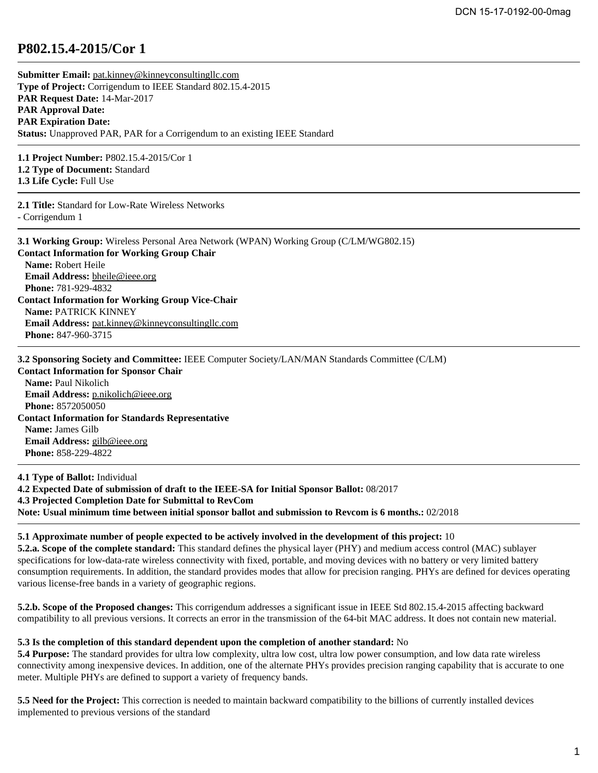## **P802.15.4-2015/Cor 1**

| Submitter Email: pat.kinney@kinneyconsultingllc.com                               |
|-----------------------------------------------------------------------------------|
| Type of Project: Corrigendum to IEEE Standard 802.15.4-2015                       |
| <b>PAR Request Date: 14-Mar-2017</b>                                              |
| <b>PAR Approval Date:</b>                                                         |
| <b>PAR Expiration Date:</b>                                                       |
| <b>Status:</b> Unapproved PAR, PAR for a Corrigendum to an existing IEEE Standard |
| $110 \cdot 1111$ noon $1710017$ 1                                                 |

**1.1 Project Number:** P802.15.4-2015/Cor 1 **1.2 Type of Document:** Standard **1.3 Life Cycle:** Full Use

**2.1 Title:** Standard for Low-Rate Wireless Networks - Corrigendum 1

| <b>3.1 Working Group:</b> Wireless Personal Area Network (WPAN) Working Group (C/LM/WG802.15) |
|-----------------------------------------------------------------------------------------------|
| <b>Contact Information for Working Group Chair</b>                                            |
| <b>Name:</b> Robert Heile                                                                     |
| Email Address: bheile@ieee.org                                                                |
| <b>Phone: 781-929-4832</b>                                                                    |
| <b>Contact Information for Working Group Vice-Chair</b>                                       |
| <b>Name: PATRICK KINNEY</b>                                                                   |
| <b>Email Address:</b> pat.kinney@kinneyconsultingllc.com                                      |
| <b>Phone: 847-960-3715</b>                                                                    |
|                                                                                               |

**3.2 Sponsoring Society and Committee:** IEEE Computer Society/LAN/MAN Standards Committee (C/LM)

**Contact Information for Sponsor Chair Name:** Paul Nikolich **Email Address:** [p.nikolich@ieee.org](mailto:p.nikolich%40ieee.org) **Phone:** 8572050050 **Contact Information for Standards Representative Name:** James Gilb **Email Address:** [gilb@ieee.org](mailto:gilb%40ieee.org) **Phone:** 858-229-4822

**4.1 Type of Ballot:** Individual **4.2 Expected Date of submission of draft to the IEEE-SA for Initial Sponsor Ballot:** 08/2017 **4.3 Projected Completion Date for Submittal to RevCom Note: Usual minimum time between initial sponsor ballot and submission to Revcom is 6 months.:** 02/2018

## **5.1 Approximate number of people expected to be actively involved in the development of this project:** 10

**5.2.a. Scope of the complete standard:** This standard defines the physical layer (PHY) and medium access control (MAC) sublayer specifications for low-data-rate wireless connectivity with fixed, portable, and moving devices with no battery or very limited battery consumption requirements. In addition, the standard provides modes that allow for precision ranging. PHYs are defined for devices operating various license-free bands in a variety of geographic regions.

**5.2.b. Scope of the Proposed changes:** This corrigendum addresses a significant issue in IEEE Std 802.15.4-2015 affecting backward compatibility to all previous versions. It corrects an error in the transmission of the 64-bit MAC address. It does not contain new material.

## **5.3 Is the completion of this standard dependent upon the completion of another standard:** No

**5.4 Purpose:** The standard provides for ultra low complexity, ultra low cost, ultra low power consumption, and low data rate wireless connectivity among inexpensive devices. In addition, one of the alternate PHYs provides precision ranging capability that is accurate to one meter. Multiple PHYs are defined to support a variety of frequency bands.

**5.5 Need for the Project:** This correction is needed to maintain backward compatibility to the billions of currently installed devices implemented to previous versions of the standard